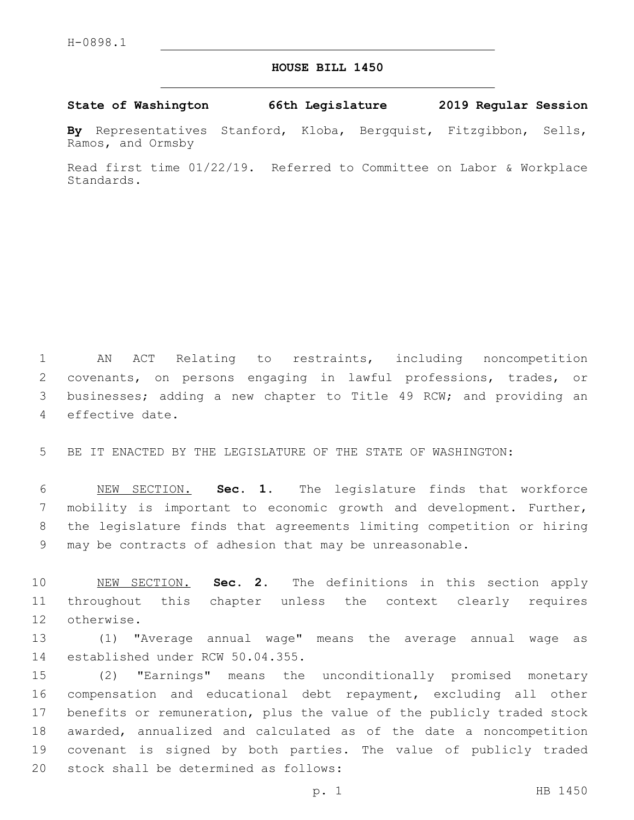## **HOUSE BILL 1450**

**State of Washington 66th Legislature 2019 Regular Session**

**By** Representatives Stanford, Kloba, Bergquist, Fitzgibbon, Sells, Ramos, and Ormsby

Read first time 01/22/19. Referred to Committee on Labor & Workplace Standards.

 AN ACT Relating to restraints, including noncompetition covenants, on persons engaging in lawful professions, trades, or businesses; adding a new chapter to Title 49 RCW; and providing an 4 effective date.

BE IT ENACTED BY THE LEGISLATURE OF THE STATE OF WASHINGTON:

 NEW SECTION. **Sec. 1.** The legislature finds that workforce mobility is important to economic growth and development. Further, the legislature finds that agreements limiting competition or hiring may be contracts of adhesion that may be unreasonable.

 NEW SECTION. **Sec. 2.** The definitions in this section apply throughout this chapter unless the context clearly requires otherwise.

 (1) "Average annual wage" means the average annual wage as 14 established under RCW 50.04.355.

 (2) "Earnings" means the unconditionally promised monetary compensation and educational debt repayment, excluding all other benefits or remuneration, plus the value of the publicly traded stock awarded, annualized and calculated as of the date a noncompetition covenant is signed by both parties. The value of publicly traded 20 stock shall be determined as follows: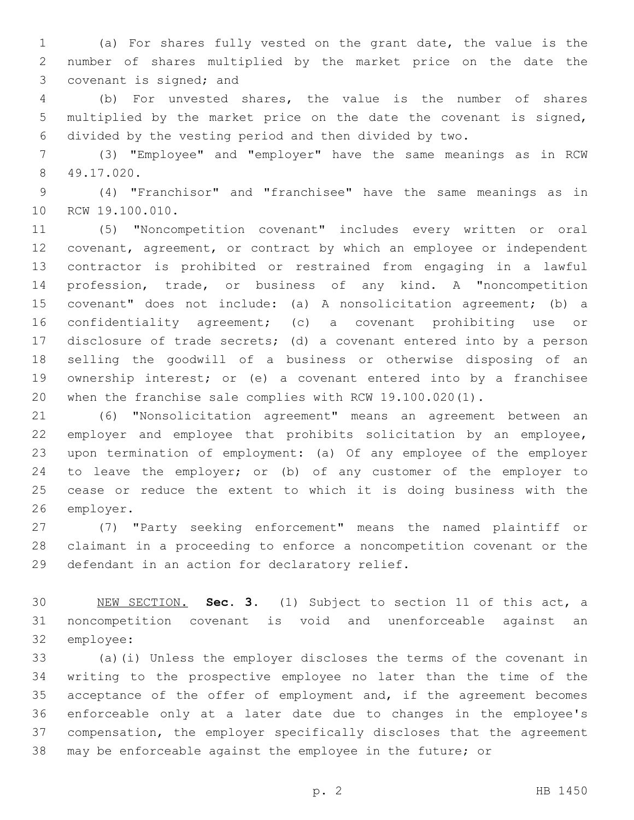(a) For shares fully vested on the grant date, the value is the number of shares multiplied by the market price on the date the 3 covenant is signed; and

 (b) For unvested shares, the value is the number of shares multiplied by the market price on the date the covenant is signed, divided by the vesting period and then divided by two.

 (3) "Employee" and "employer" have the same meanings as in RCW 49.17.020.8

 (4) "Franchisor" and "franchisee" have the same meanings as in 10 RCW 19.100.010.

 (5) "Noncompetition covenant" includes every written or oral covenant, agreement, or contract by which an employee or independent contractor is prohibited or restrained from engaging in a lawful profession, trade, or business of any kind. A "noncompetition covenant" does not include: (a) A nonsolicitation agreement; (b) a confidentiality agreement; (c) a covenant prohibiting use or disclosure of trade secrets; (d) a covenant entered into by a person selling the goodwill of a business or otherwise disposing of an ownership interest; or (e) a covenant entered into by a franchisee when the franchise sale complies with RCW 19.100.020(1).

 (6) "Nonsolicitation agreement" means an agreement between an employer and employee that prohibits solicitation by an employee, upon termination of employment: (a) Of any employee of the employer to leave the employer; or (b) of any customer of the employer to cease or reduce the extent to which it is doing business with the 26 employer.

 (7) "Party seeking enforcement" means the named plaintiff or claimant in a proceeding to enforce a noncompetition covenant or the 29 defendant in an action for declaratory relief.

 NEW SECTION. **Sec. 3.** (1) Subject to section 11 of this act, a noncompetition covenant is void and unenforceable against an employee:

 (a)(i) Unless the employer discloses the terms of the covenant in writing to the prospective employee no later than the time of the 35 acceptance of the offer of employment and, if the agreement becomes enforceable only at a later date due to changes in the employee's compensation, the employer specifically discloses that the agreement may be enforceable against the employee in the future; or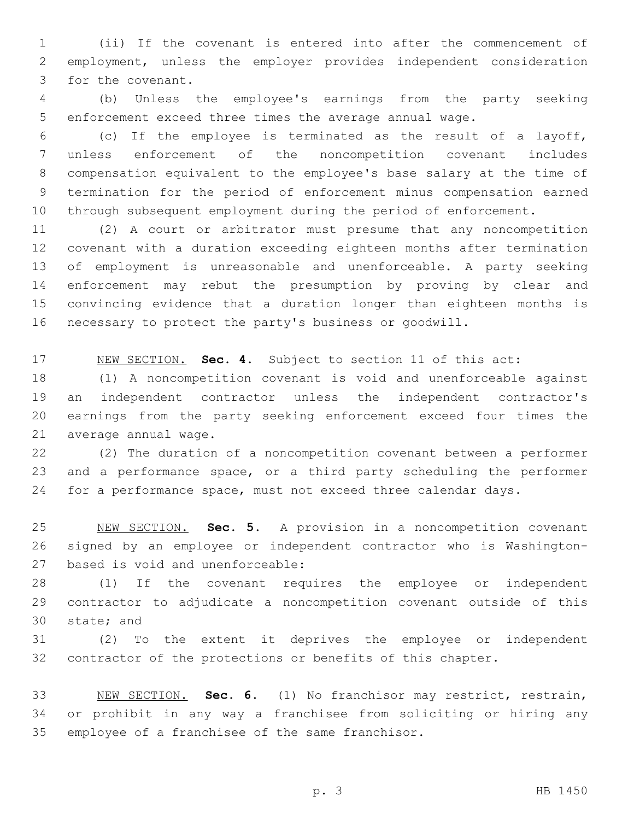(ii) If the covenant is entered into after the commencement of employment, unless the employer provides independent consideration 3 for the covenant.

 (b) Unless the employee's earnings from the party seeking enforcement exceed three times the average annual wage.

 (c) If the employee is terminated as the result of a layoff, unless enforcement of the noncompetition covenant includes compensation equivalent to the employee's base salary at the time of termination for the period of enforcement minus compensation earned through subsequent employment during the period of enforcement.

 (2) A court or arbitrator must presume that any noncompetition covenant with a duration exceeding eighteen months after termination of employment is unreasonable and unenforceable. A party seeking enforcement may rebut the presumption by proving by clear and convincing evidence that a duration longer than eighteen months is necessary to protect the party's business or goodwill.

NEW SECTION. **Sec. 4.** Subject to section 11 of this act:

 (1) A noncompetition covenant is void and unenforceable against an independent contractor unless the independent contractor's earnings from the party seeking enforcement exceed four times the 21 average annual wage.

 (2) The duration of a noncompetition covenant between a performer and a performance space, or a third party scheduling the performer for a performance space, must not exceed three calendar days.

 NEW SECTION. **Sec. 5.** A provision in a noncompetition covenant signed by an employee or independent contractor who is Washington-based is void and unenforceable:

 (1) If the covenant requires the employee or independent contractor to adjudicate a noncompetition covenant outside of this 30 state; and

 (2) To the extent it deprives the employee or independent contractor of the protections or benefits of this chapter.

 NEW SECTION. **Sec. 6.** (1) No franchisor may restrict, restrain, or prohibit in any way a franchisee from soliciting or hiring any employee of a franchisee of the same franchisor.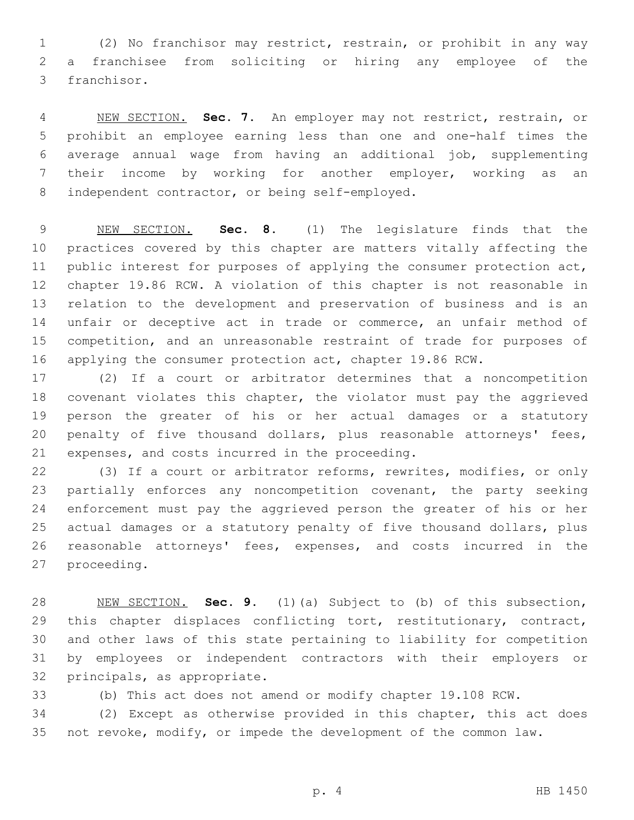(2) No franchisor may restrict, restrain, or prohibit in any way a franchisee from soliciting or hiring any employee of the 3 franchisor.

 NEW SECTION. **Sec. 7.** An employer may not restrict, restrain, or prohibit an employee earning less than one and one-half times the average annual wage from having an additional job, supplementing their income by working for another employer, working as an independent contractor, or being self-employed.

 NEW SECTION. **Sec. 8.** (1) The legislature finds that the practices covered by this chapter are matters vitally affecting the public interest for purposes of applying the consumer protection act, chapter 19.86 RCW. A violation of this chapter is not reasonable in relation to the development and preservation of business and is an unfair or deceptive act in trade or commerce, an unfair method of competition, and an unreasonable restraint of trade for purposes of applying the consumer protection act, chapter 19.86 RCW.

 (2) If a court or arbitrator determines that a noncompetition covenant violates this chapter, the violator must pay the aggrieved person the greater of his or her actual damages or a statutory penalty of five thousand dollars, plus reasonable attorneys' fees, 21 expenses, and costs incurred in the proceeding.

 (3) If a court or arbitrator reforms, rewrites, modifies, or only 23 partially enforces any noncompetition covenant, the party seeking enforcement must pay the aggrieved person the greater of his or her actual damages or a statutory penalty of five thousand dollars, plus reasonable attorneys' fees, expenses, and costs incurred in the 27 proceeding.

 NEW SECTION. **Sec. 9.** (1)(a) Subject to (b) of this subsection, 29 this chapter displaces conflicting tort, restitutionary, contract, and other laws of this state pertaining to liability for competition by employees or independent contractors with their employers or principals, as appropriate.

(b) This act does not amend or modify chapter 19.108 RCW.

 (2) Except as otherwise provided in this chapter, this act does not revoke, modify, or impede the development of the common law.